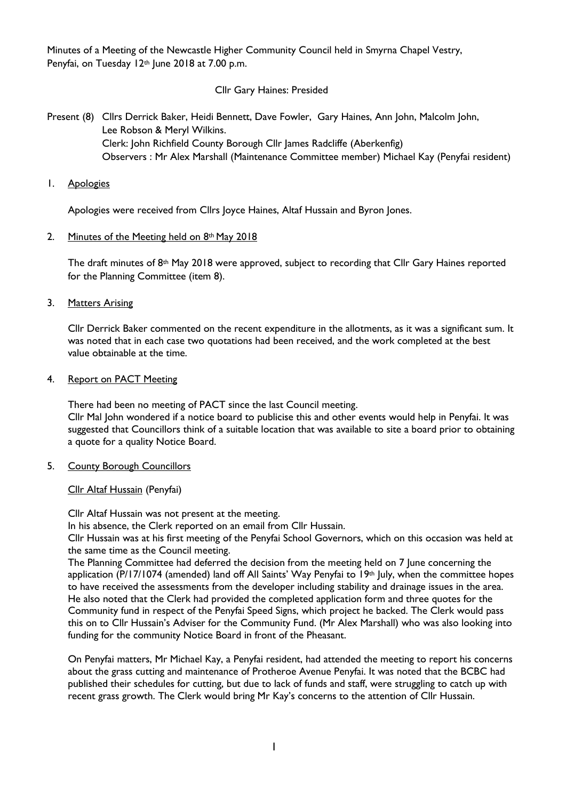Minutes of a Meeting of the Newcastle Higher Community Council held in Smyrna Chapel Vestry, Penyfai, on Tuesday 12th June 2018 at 7.00 p.m.

Cllr Gary Haines: Presided

Present (8) Cllrs Derrick Baker, Heidi Bennett, Dave Fowler, Gary Haines, Ann John, Malcolm John, Lee Robson & Meryl Wilkins. Clerk: John Richfield County Borough Cllr James Radcliffe (Aberkenfig) Observers : Mr Alex Marshall (Maintenance Committee member) Michael Kay (Penyfai resident)

#### 1. Apologies

Apologies were received from Cllrs Joyce Haines, Altaf Hussain and Byron Jones.

### 2. Minutes of the Meeting held on  $8<sup>th</sup>$  May 2018

The draft minutes of 8th May 2018 were approved, subject to recording that Cllr Gary Haines reported for the Planning Committee (item 8).

3. Matters Arising

Cllr Derrick Baker commented on the recent expenditure in the allotments, as it was a significant sum. It was noted that in each case two quotations had been received, and the work completed at the best value obtainable at the time.

#### 4. Report on PACT Meeting

There had been no meeting of PACT since the last Council meeting. Cllr Mal John wondered if a notice board to publicise this and other events would help in Penyfai. It was suggested that Councillors think of a suitable location that was available to site a board prior to obtaining a quote for a quality Notice Board.

### 5. County Borough Councillors

### Cllr Altaf Hussain (Penyfai)

Cllr Altaf Hussain was not present at the meeting.

In his absence, the Clerk reported on an email from Cllr Hussain.

Cllr Hussain was at his first meeting of the Penyfai School Governors, which on this occasion was held at the same time as the Council meeting.

The Planning Committee had deferred the decision from the meeting held on 7 June concerning the application (P/17/1074 (amended) land off All Saints' Way Penyfai to 19<sup>th</sup> July, when the committee hopes to have received the assessments from the developer including stability and drainage issues in the area. He also noted that the Clerk had provided the completed application form and three quotes for the Community fund in respect of the Penyfai Speed Signs, which project he backed. The Clerk would pass this on to Cllr Hussain's Adviser for the Community Fund. (Mr Alex Marshall) who was also looking into funding for the community Notice Board in front of the Pheasant.

On Penyfai matters, Mr Michael Kay, a Penyfai resident, had attended the meeting to report his concerns about the grass cutting and maintenance of Protheroe Avenue Penyfai. It was noted that the BCBC had published their schedules for cutting, but due to lack of funds and staff, were struggling to catch up with recent grass growth. The Clerk would bring Mr Kay's concerns to the attention of Cllr Hussain.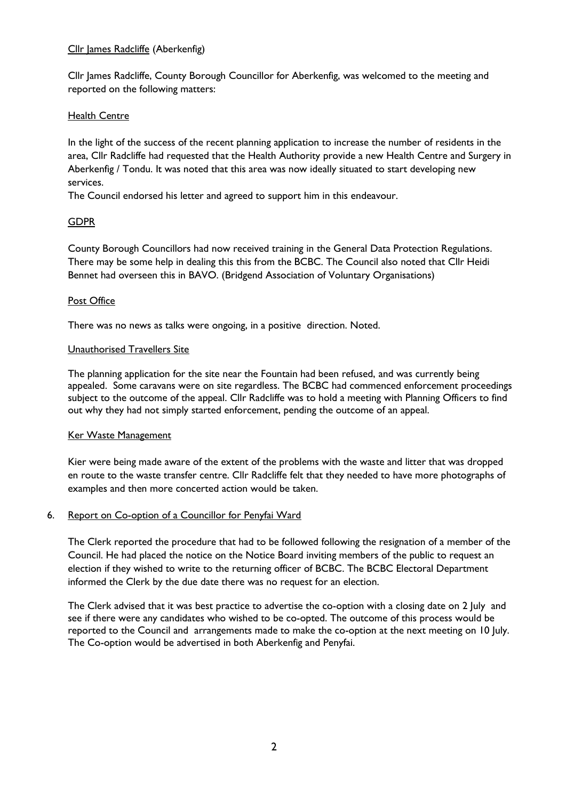### Cllr James Radcliffe (Aberkenfig)

Cllr James Radcliffe, County Borough Councillor for Aberkenfig, was welcomed to the meeting and reported on the following matters:

#### Health Centre

In the light of the success of the recent planning application to increase the number of residents in the area, Cllr Radcliffe had requested that the Health Authority provide a new Health Centre and Surgery in Aberkenfig / Tondu. It was noted that this area was now ideally situated to start developing new services.

The Council endorsed his letter and agreed to support him in this endeavour.

### GDPR

County Borough Councillors had now received training in the General Data Protection Regulations. There may be some help in dealing this this from the BCBC. The Council also noted that Cllr Heidi Bennet had overseen this in BAVO. (Bridgend Association of Voluntary Organisations)

#### Post Office

There was no news as talks were ongoing, in a positive direction. Noted.

#### Unauthorised Travellers Site

The planning application for the site near the Fountain had been refused, and was currently being appealed. Some caravans were on site regardless. The BCBC had commenced enforcement proceedings subject to the outcome of the appeal. Cllr Radcliffe was to hold a meeting with Planning Officers to find out why they had not simply started enforcement, pending the outcome of an appeal.

#### Ker Waste Management

Kier were being made aware of the extent of the problems with the waste and litter that was dropped en route to the waste transfer centre. Cllr Radcliffe felt that they needed to have more photographs of examples and then more concerted action would be taken.

#### 6. Report on Co-option of a Councillor for Penyfai Ward

The Clerk reported the procedure that had to be followed following the resignation of a member of the Council. He had placed the notice on the Notice Board inviting members of the public to request an election if they wished to write to the returning officer of BCBC. The BCBC Electoral Department informed the Clerk by the due date there was no request for an election.

The Clerk advised that it was best practice to advertise the co-option with a closing date on 2 July and see if there were any candidates who wished to be co-opted. The outcome of this process would be reported to the Council and arrangements made to make the co-option at the next meeting on 10 July. The Co-option would be advertised in both Aberkenfig and Penyfai.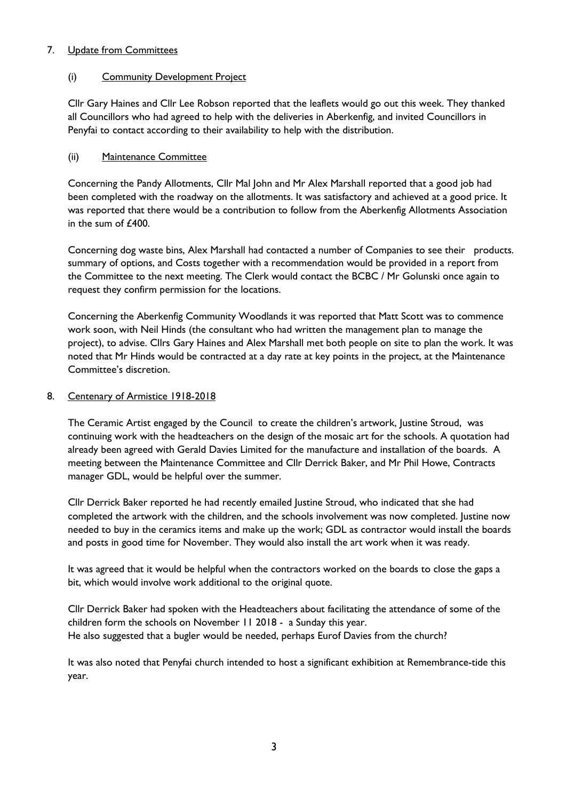## 7. Update from Committees

# (i) Community Development Project

Cllr Gary Haines and Cllr Lee Robson reported that the leaflets would go out this week. They thanked all Councillors who had agreed to help with the deliveries in Aberkenfig, and invited Councillors in Penyfai to contact according to their availability to help with the distribution.

# (ii) Maintenance Committee

Concerning the Pandy Allotments, Cllr Mal John and Mr Alex Marshall reported that a good job had been completed with the roadway on the allotments. It was satisfactory and achieved at a good price. It was reported that there would be a contribution to follow from the Aberkenfig Allotments Association in the sum of £400.

Concerning dog waste bins, Alex Marshall had contacted a number of Companies to see their products. summary of options, and Costs together with a recommendation would be provided in a report from the Committee to the next meeting. The Clerk would contact the BCBC / Mr Golunski once again to request they confirm permission for the locations.

Concerning the Aberkenfig Community Woodlands it was reported that Matt Scott was to commence work soon, with Neil Hinds (the consultant who had written the management plan to manage the project), to advise. Cllrs Gary Haines and Alex Marshall met both people on site to plan the work. It was noted that Mr Hinds would be contracted at a day rate at key points in the project, at the Maintenance Committee's discretion.

### 8. Centenary of Armistice 1918-2018

The Ceramic Artist engaged by the Council to create the children's artwork, Justine Stroud, was continuing work with the headteachers on the design of the mosaic art for the schools. A quotation had already been agreed with Gerald Davies Limited for the manufacture and installation of the boards. A meeting between the Maintenance Committee and Cllr Derrick Baker, and Mr Phil Howe, Contracts manager GDL, would be helpful over the summer.

Cllr Derrick Baker reported he had recently emailed Justine Stroud, who indicated that she had completed the artwork with the children, and the schools involvement was now completed. Justine now needed to buy in the ceramics items and make up the work; GDL as contractor would install the boards and posts in good time for November. They would also install the art work when it was ready.

It was agreed that it would be helpful when the contractors worked on the boards to close the gaps a bit, which would involve work additional to the original quote.

Cllr Derrick Baker had spoken with the Headteachers about facilitating the attendance of some of the children form the schools on November 11 2018 - a Sunday this year. He also suggested that a bugler would be needed, perhaps Eurof Davies from the church?

It was also noted that Penyfai church intended to host a significant exhibition at Remembrance-tide this year.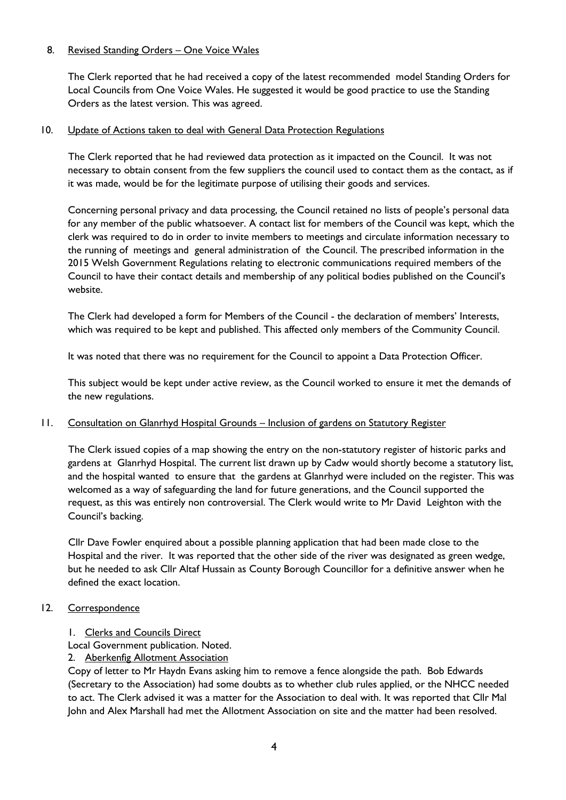### 8. Revised Standing Orders - One Voice Wales

The Clerk reported that he had received a copy of the latest recommended model Standing Orders for Local Councils from One Voice Wales. He suggested it would be good practice to use the Standing Orders as the latest version. This was agreed.

#### 10. Update of Actions taken to deal with General Data Protection Regulations

The Clerk reported that he had reviewed data protection as it impacted on the Council. It was not necessary to obtain consent from the few suppliers the council used to contact them as the contact, as if it was made, would be for the legitimate purpose of utilising their goods and services.

Concerning personal privacy and data processing, the Council retained no lists of people's personal data for any member of the public whatsoever. A contact list for members of the Council was kept, which the clerk was required to do in order to invite members to meetings and circulate information necessary to the running of meetings and general administration of the Council. The prescribed information in the 2015 Welsh Government Regulations relating to electronic communications required members of the Council to have their contact details and membership of any political bodies published on the Council's website.

The Clerk had developed a form for Members of the Council - the declaration of members' Interests, which was required to be kept and published. This affected only members of the Community Council.

It was noted that there was no requirement for the Council to appoint a Data Protection Officer.

This subject would be kept under active review, as the Council worked to ensure it met the demands of the new regulations.

### 11. Consultation on Glanrhyd Hospital Grounds – Inclusion of gardens on Statutory Register

The Clerk issued copies of a map showing the entry on the non-statutory register of historic parks and gardens at Glanrhyd Hospital. The current list drawn up by Cadw would shortly become a statutory list, and the hospital wanted to ensure that the gardens at Glanrhyd were included on the register. This was welcomed as a way of safeguarding the land for future generations, and the Council supported the request, as this was entirely non controversial. The Clerk would write to Mr David Leighton with the Council's backing.

Cllr Dave Fowler enquired about a possible planning application that had been made close to the Hospital and the river. It was reported that the other side of the river was designated as green wedge, but he needed to ask Cllr Altaf Hussain as County Borough Councillor for a definitive answer when he defined the exact location.

### 12. Correspondence

### 1. Clerks and Councils Direct

Local Government publication. Noted.

### 2. Aberkenfig Allotment Association

Copy of letter to Mr Haydn Evans asking him to remove a fence alongside the path. Bob Edwards (Secretary to the Association) had some doubts as to whether club rules applied, or the NHCC needed to act. The Clerk advised it was a matter for the Association to deal with. It was reported that Cllr Mal John and Alex Marshall had met the Allotment Association on site and the matter had been resolved.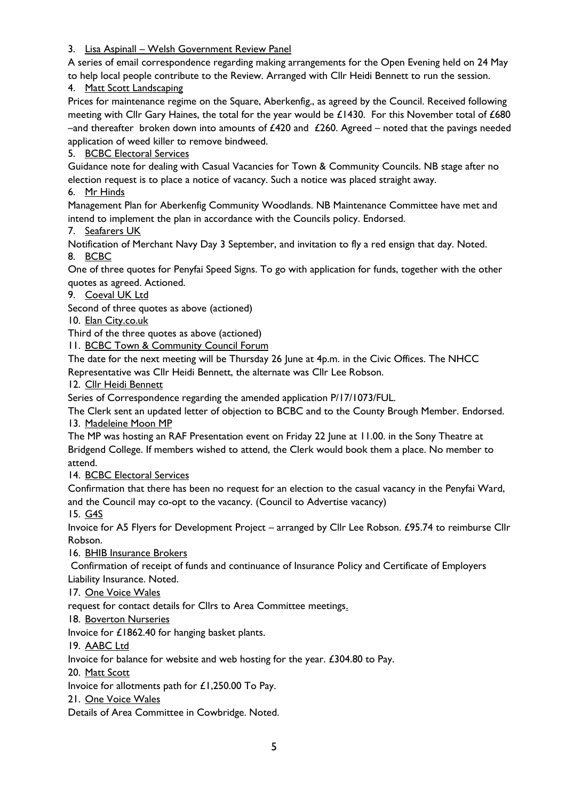# 3. Lisa Aspinall – Welsh Government Review Panel

A series of email correspondence regarding making arrangements for the Open Evening held on 24 May to help local people contribute to the Review. Arranged with Cllr Heidi Bennett to run the session.

# 4. Matt Scott Landscaping

Prices for maintenance regime on the Square, Aberkenfig., as agreed by the Council. Received following meeting with Cllr Gary Haines, the total for the year would be £1430. For this November total of £680 –and thereafter broken down into amounts of  $£420$  and  $£260$ . Agreed – noted that the pavings needed application of weed killer to remove bindweed.

# 5. BCBC Electoral Services

Guidance note for dealing with Casual Vacancies for Town & Community Councils. NB stage after no election request is to place a notice of vacancy. Such a notice was placed straight away.

#### 6. Mr Hinds

Management Plan for Aberkenfig Community Woodlands. NB Maintenance Committee have met and intend to implement the plan in accordance with the Councils policy. Endorsed.

7. Seafarers UK

Notification of Merchant Navy Day 3 September, and invitation to fly a red ensign that day. Noted.

8. BCBC

One of three quotes for Penyfai Speed Signs. To go with application for funds, together with the other quotes as agreed. Actioned.

9. Coeval UK Ltd

Second of three quotes as above (actioned)

10. Elan City.co.uk

Third of the three quotes as above (actioned)

11. BCBC Town & Community Council Forum

The date for the next meeting will be Thursday 26 June at 4p.m. in the Civic Offices. The NHCC Representative was Cllr Heidi Bennett, the alternate was Cllr Lee Robson.

12. Cllr Heidi Bennett

Series of Correspondence regarding the amended application P/17/1073/FUL.

The Clerk sent an updated letter of objection to BCBC and to the County Brough Member. Endorsed. 13. Madeleine Moon MP

The MP was hosting an RAF Presentation event on Friday 22 June at 11.00. in the Sony Theatre at Bridgend College. If members wished to attend, the Clerk would book them a place. No member to attend.

14. BCBC Electoral Services

Confirmation that there has been no request for an election to the casual vacancy in the Penyfai Ward, and the Council may co-opt to the vacancy. (Council to Advertise vacancy)

15. G4S

Invoice for A5 Flyers for Development Project – arranged by Cllr Lee Robson. £95.74 to reimburse Cllr Robson.

16. BHIB Insurance Brokers

Confirmation of receipt of funds and continuance of Insurance Policy and Certificate of Employers Liability Insurance. Noted.

### 17. One Voice Wales

request for contact details for Cllrs to Area Committee meetings.

18. Boverton Nurseries

Invoice for £1862.40 for hanging basket plants.

19. AABC Ltd

Invoice for balance for website and web hosting for the year. £304.80 to Pay.

20. Matt Scott

Invoice for allotments path for £1,250.00 To Pay.

21. One Voice Wales

Details of Area Committee in Cowbridge. Noted.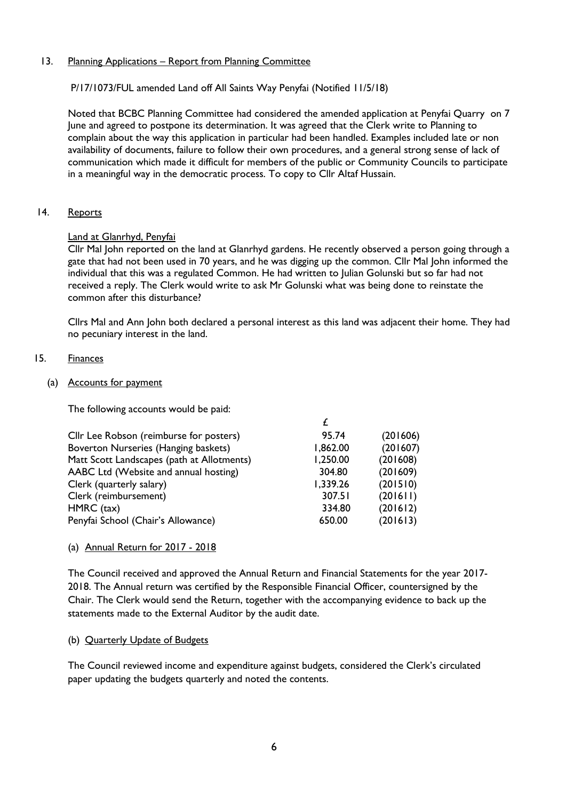### 13. Planning Applications – Report from Planning Committee

## P/17/1073/FUL amended Land off All Saints Way Penyfai (Notified 11/5/18)

Noted that BCBC Planning Committee had considered the amended application at Penyfai Quarry on 7 June and agreed to postpone its determination. It was agreed that the Clerk write to Planning to complain about the way this application in particular had been handled. Examples included late or non availability of documents, failure to follow their own procedures, and a general strong sense of lack of communication which made it difficult for members of the public or Community Councils to participate in a meaningful way in the democratic process. To copy to Cllr Altaf Hussain.

### 14. Reports

# Land at Glanrhyd, Penyfai

Cllr Mal John reported on the land at Glanrhyd gardens. He recently observed a person going through a gate that had not been used in 70 years, and he was digging up the common. Cllr Mal John informed the individual that this was a regulated Common. He had written to Julian Golunski but so far had not received a reply. The Clerk would write to ask Mr Golunski what was being done to reinstate the common after this disturbance?

Cllrs Mal and Ann John both declared a personal interest as this land was adjacent their home. They had no pecuniary interest in the land.

### 15. Finances

### (a) Accounts for payment

The following accounts would be paid:

| Cllr Lee Robson (reimburse for posters)    | 95.74    | (201606) |
|--------------------------------------------|----------|----------|
| Boverton Nurseries (Hanging baskets)       | 1,862.00 | (201607) |
| Matt Scott Landscapes (path at Allotments) | 1,250.00 | (201608) |
| AABC Ltd (Website and annual hosting)      | 304.80   | (201609) |
| Clerk (quarterly salary)                   | 1,339.26 | (201510) |
| Clerk (reimbursement)                      | 307.51   | (201611) |
| HMRC (tax)                                 | 334.80   | (201612) |
| Penyfai School (Chair's Allowance)         | 650.00   | (201613) |
|                                            |          |          |

### (a) Annual Return for 2017 - 2018

The Council received and approved the Annual Return and Financial Statements for the year 2017- 2018. The Annual return was certified by the Responsible Financial Officer, countersigned by the Chair. The Clerk would send the Return, together with the accompanying evidence to back up the statements made to the External Auditor by the audit date.

### (b) Quarterly Update of Budgets

The Council reviewed income and expenditure against budgets, considered the Clerk's circulated paper updating the budgets quarterly and noted the contents.